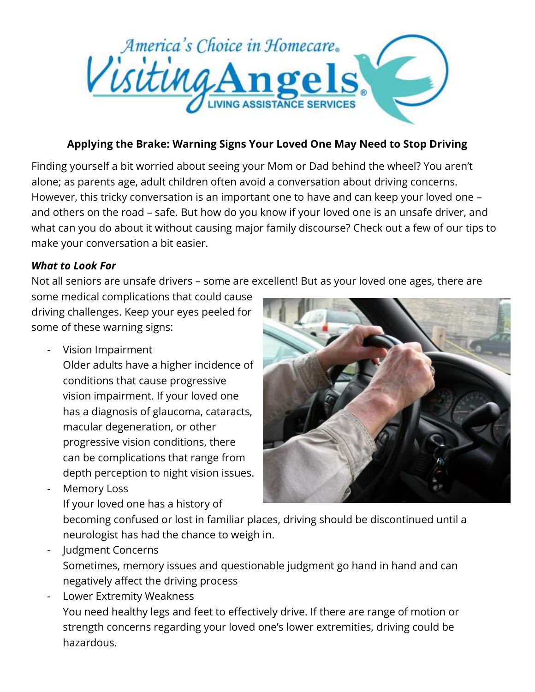

## **Applying the Brake: Warning Signs Your Loved One May Need to Stop Driving**

Finding yourself a bit worried about seeing your Mom or Dad behind the wheel? You aren't alone; as parents age, adult children often avoid a conversation about driving concerns. However, this tricky conversation is an important one to have and can keep your loved one – and others on the road – safe. But how do you know if your loved one is an unsafe driver, and what can you do about it without causing major family discourse? Check out a few of our tips to make your conversation a bit easier.

## *What to Look For*

Not all seniors are unsafe drivers – some are excellent! But as your loved one ages, there are

some medical complications that could cause driving challenges. Keep your eyes peeled for some of these warning signs:

- Vision Impairment

Older adults have a higher incidence of conditions that cause progressive vision impairment. If your loved one has a diagnosis of glaucoma, cataracts, macular degeneration, or other progressive vision conditions, there can be complications that range from depth perception to night vision issues.

Memory Loss

If your loved one has a history of

becoming confused or lost in familiar places, driving should be discontinued until a neurologist has had the chance to weigh in.

- Judgment Concerns Sometimes, memory issues and questionable judgment go hand in hand and can negatively affect the driving process
- Lower Extremity Weakness You need healthy legs and feet to effectively drive. If there are range of motion or strength concerns regarding your loved one's lower extremities, driving could be hazardous.